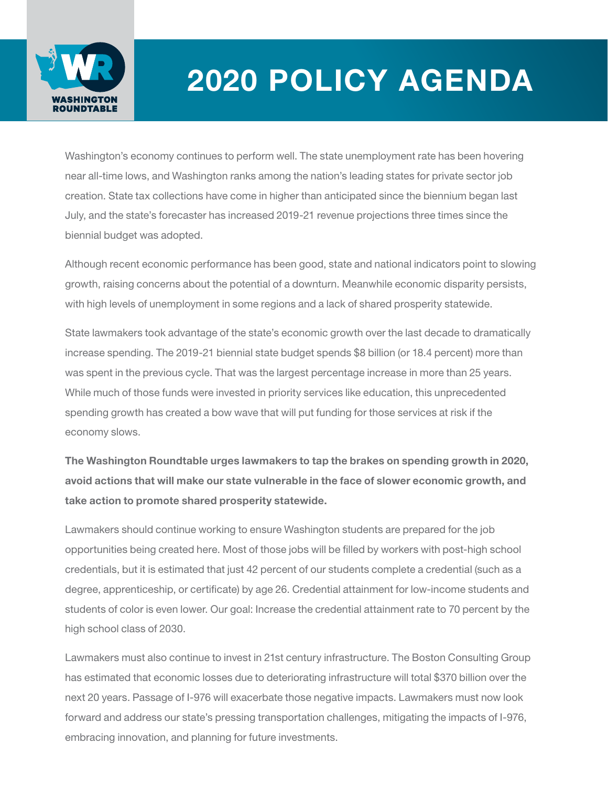

## 2020 POLICY AGENDA

Washington's economy continues to perform well. The state unemployment rate has been hovering near all-time lows, and Washington ranks among the nation's leading states for private sector job creation. State tax collections have come in higher than anticipated since the biennium began last July, and the state's forecaster has increased 2019-21 revenue projections three times since the biennial budget was adopted.

Although recent economic performance has been good, state and national indicators point to slowing growth, raising concerns about the potential of a downturn. Meanwhile economic disparity persists, with high levels of unemployment in some regions and a lack of shared prosperity statewide.

State lawmakers took advantage of the state's economic growth over the last decade to dramatically increase spending. The 2019-21 biennial state budget spends \$8 billion (or 18.4 percent) more than was spent in the previous cycle. That was the largest percentage increase in more than 25 years. While much of those funds were invested in priority services like education, this unprecedented spending growth has created a bow wave that will put funding for those services at risk if the economy slows.

The Washington Roundtable urges lawmakers to tap the brakes on spending growth in 2020, avoid actions that will make our state vulnerable in the face of slower economic growth, and take action to promote shared prosperity statewide.

Lawmakers should continue working to ensure Washington students are prepared for the job opportunities being created here. Most of those jobs will be filled by workers with post-high school credentials, but it is estimated that just 42 percent of our students complete a credential (such as a degree, apprenticeship, or certificate) by age 26. Credential attainment for low-income students and students of color is even lower. Our goal: Increase the credential attainment rate to 70 percent by the high school class of 2030.

Lawmakers must also continue to invest in 21st century infrastructure. The Boston Consulting Group has estimated that economic losses due to deteriorating infrastructure will total \$370 billion over the next 20 years. Passage of I-976 will exacerbate those negative impacts. Lawmakers must now look forward and address our state's pressing transportation challenges, mitigating the impacts of I-976, embracing innovation, and planning for future investments.